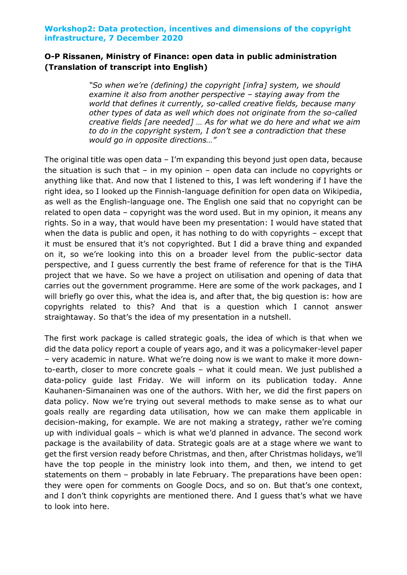## **O-P Rissanen, Ministry of Finance: open data in public administration (Translation of transcript into English)**

*"So when we're (defining) the copyright [infra] system, we should examine it also from another perspective – staying away from the world that defines it currently, so-called creative fields, because many other types of data as well which does not originate from the so-called creative fields [are needed] … As for what we do here and what we aim to do in the copyright system, I don't see a contradiction that these would go in opposite directions…"*

The original title was open data  $-$  I'm expanding this beyond just open data, because the situation is such that – in my opinion – open data can include no copyrights or anything like that. And now that I listened to this, I was left wondering if I have the right idea, so I looked up the Finnish-language definition for open data on Wikipedia, as well as the English-language one. The English one said that no copyright can be related to open data – copyright was the word used. But in my opinion, it means any rights. So in a way, that would have been my presentation: I would have stated that when the data is public and open, it has nothing to do with copyrights – except that it must be ensured that it's not copyrighted. But I did a brave thing and expanded on it, so we're looking into this on a broader level from the public-sector data perspective, and I guess currently the best frame of reference for that is the TiHA project that we have. So we have a project on utilisation and opening of data that carries out the government programme. Here are some of the work packages, and I will briefly go over this, what the idea is, and after that, the big question is: how are copyrights related to this? And that is a question which I cannot answer straightaway. So that's the idea of my presentation in a nutshell.

The first work package is called strategic goals, the idea of which is that when we did the data policy report a couple of years ago, and it was a policymaker-level paper – very academic in nature. What we're doing now is we want to make it more downto-earth, closer to more concrete goals – what it could mean. We just published a data-policy guide last Friday. We will inform on its publication today. Anne Kauhanen-Simanainen was one of the authors. With her, we did the first papers on data policy. Now we're trying out several methods to make sense as to what our goals really are regarding data utilisation, how we can make them applicable in decision-making, for example. We are not making a strategy, rather we're coming up with individual goals – which is what we'd planned in advance. The second work package is the availability of data. Strategic goals are at a stage where we want to get the first version ready before Christmas, and then, after Christmas holidays, we'll have the top people in the ministry look into them, and then, we intend to get statements on them – probably in late February. The preparations have been open: they were open for comments on Google Docs, and so on. But that's one context, and I don't think copyrights are mentioned there. And I guess that's what we have to look into here.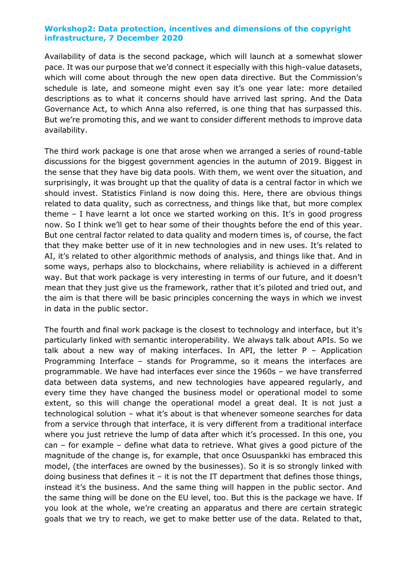Availability of data is the second package, which will launch at a somewhat slower pace. It was our purpose that we'd connect it especially with this high-value datasets, which will come about through the new open data directive. But the Commission's schedule is late, and someone might even say it's one year late: more detailed descriptions as to what it concerns should have arrived last spring. And the Data Governance Act, to which Anna also referred, is one thing that has surpassed this. But we're promoting this, and we want to consider different methods to improve data availability.

The third work package is one that arose when we arranged a series of round-table discussions for the biggest government agencies in the autumn of 2019. Biggest in the sense that they have big data pools. With them, we went over the situation, and surprisingly, it was brought up that the quality of data is a central factor in which we should invest. Statistics Finland is now doing this. Here, there are obvious things related to data quality, such as correctness, and things like that, but more complex theme – I have learnt a lot once we started working on this. It's in good progress now. So I think we'll get to hear some of their thoughts before the end of this year. But one central factor related to data quality and modern times is, of course, the fact that they make better use of it in new technologies and in new uses. It's related to AI, it's related to other algorithmic methods of analysis, and things like that. And in some ways, perhaps also to blockchains, where reliability is achieved in a different way. But that work package is very interesting in terms of our future, and it doesn't mean that they just give us the framework, rather that it's piloted and tried out, and the aim is that there will be basic principles concerning the ways in which we invest in data in the public sector.

The fourth and final work package is the closest to technology and interface, but it's particularly linked with semantic interoperability. We always talk about APIs. So we talk about a new way of making interfaces. In API, the letter P – Application Programming Interface – stands for Programme, so it means the interfaces are programmable. We have had interfaces ever since the 1960s – we have transferred data between data systems, and new technologies have appeared regularly, and every time they have changed the business model or operational model to some extent, so this will change the operational model a great deal. It is not just a technological solution – what it's about is that whenever someone searches for data from a service through that interface, it is very different from a traditional interface where you just retrieve the lump of data after which it's processed. In this one, you can – for example – define what data to retrieve. What gives a good picture of the magnitude of the change is, for example, that once Osuuspankki has embraced this model, (the interfaces are owned by the businesses). So it is so strongly linked with doing business that defines it  $-$  it is not the IT department that defines those things, instead it's the business. And the same thing will happen in the public sector. And the same thing will be done on the EU level, too. But this is the package we have. If you look at the whole, we're creating an apparatus and there are certain strategic goals that we try to reach, we get to make better use of the data. Related to that,